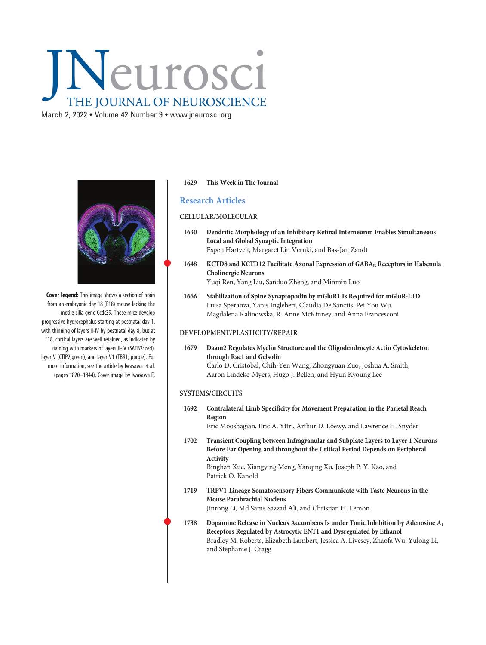# Neurosci THE JOURNAL OF NEUROSCIENCE

March 2, 2022 • Volume 42 Number 9 • [www.jneurosci.org](https://www.jneurosci.org)



Cover legend: This image shows a section of brain from an embryonic day 18 (E18) mouse lacking the motile cilia gene Ccdc39. These mice develop progressive hydrocephalus starting at postnatal day 1, with thinning of layers II-IV by postnatal day 8, but at E18, cortical layers are well retained, as indicated by staining with markers of layers II-IV (SATB2; red), layer V (CTIP2;green), and layer V1 (TBR1; purple). For more information, see the article by Iwasawa et al. (pages 1820–1844). Cover image by Iwasawa E.

# 1629 This Week in The Journal

# Research Articles

#### CELLULAR/MOLECULAR

- 1630 Dendritic Morphology of an Inhibitory Retinal Interneuron Enables Simultaneous Local and Global Synaptic Integration Espen Hartveit, Margaret Lin Veruki, and Bas-Jan Zandt
- 1648 KCTD8 and KCTD12 Facilitate Axonal Expression of GABA<sub>B</sub> Receptors in Habenula Cholinergic Neurons Yuqi Ren, Yang Liu, Sanduo Zheng, and Minmin Luo
- 1666 Stabilization of Spine Synaptopodin by mGluR1 Is Required for mGluR-LTD Luisa Speranza, Yanis Inglebert, Claudia De Sanctis, Pei You Wu, Magdalena Kalinowska, R. Anne McKinney, and Anna Francesconi

# DEVELOPMENT/PLASTICITY/REPAIR

1679 Daam2 Regulates Myelin Structure and the Oligodendrocyte Actin Cytoskeleton through Rac1 and Gelsolin Carlo D. Cristobal, Chih-Yen Wang, Zhongyuan Zuo, Joshua A. Smith, Aaron Lindeke-Myers, Hugo J. Bellen, and Hyun Kyoung Lee

# SYSTEMS/CIRCUITS

1692 Contralateral Limb Specificity for Movement Preparation in the Parietal Reach Region

Eric Mooshagian, Eric A. Yttri, Arthur D. Loewy, and Lawrence H. Snyder

- 1702 Transient Coupling between Infragranular and Subplate Layers to Layer 1 Neurons Before Ear Opening and throughout the Critical Period Depends on Peripheral Activity Binghan Xue, Xiangying Meng, Yanqing Xu, Joseph P. Y. Kao, and Patrick O. Kanold
- 1719 TRPV1-Lineage Somatosensory Fibers Communicate with Taste Neurons in the Mouse Parabrachial Nucleus Jinrong Li, Md Sams Sazzad Ali, and Christian H. Lemon

 <sup>1738</sup> Dopamine Release in Nucleus Accumbens Is under Tonic Inhibition by Adenosine A1 Receptors Regulated by Astrocytic ENT1 and Dysregulated by Ethanol Bradley M. Roberts, Elizabeth Lambert, Jessica A. Livesey, Zhaofa Wu, Yulong Li, and Stephanie J. Cragg